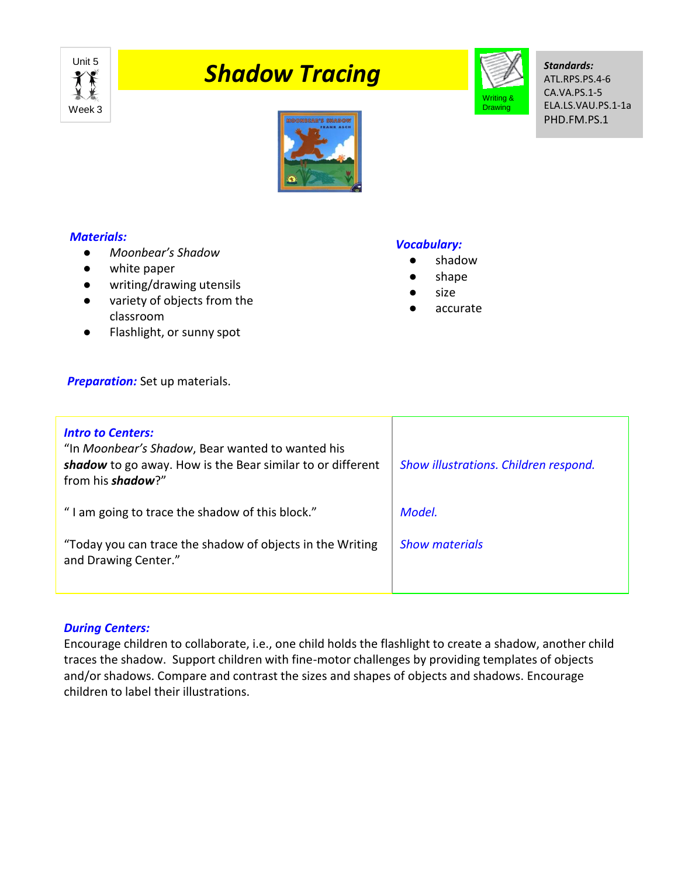

# **The Shadow Tracing**



*Standards:* ATL.RPS.PS.4-6 CA.VA.PS.1-5 ELA.LS.VAU.PS.1-1a PHD.FM.PS.1



## *Materials:*

- *Moonbear's Shadow*
- white paper
- writing/drawing utensils
- variety of objects from the classroom
- Flashlight, or sunny spot

## **Preparation:** Set up materials.

# *Intro to Centers:* "In *Moonbear's Shadow*, Bear wanted to wanted his *shadow* to go away. How is the Bear similar to or different from his *shadow*?" " I am going to trace the shadow of this block." "Today you can trace the shadow of objects in the Writing and Drawing Center." *Show illustrations. Children respond. Model. Show materials*

## *During Centers:*

Encourage children to collaborate, i.e., one child holds the flashlight to create a shadow, another child traces the shadow. Support children with fine-motor challenges by providing templates of objects and/or shadows. Compare and contrast the sizes and shapes of objects and shadows. Encourage children to label their illustrations.

## *Vocabulary:*

- shadow
- shape
- size
- accurate